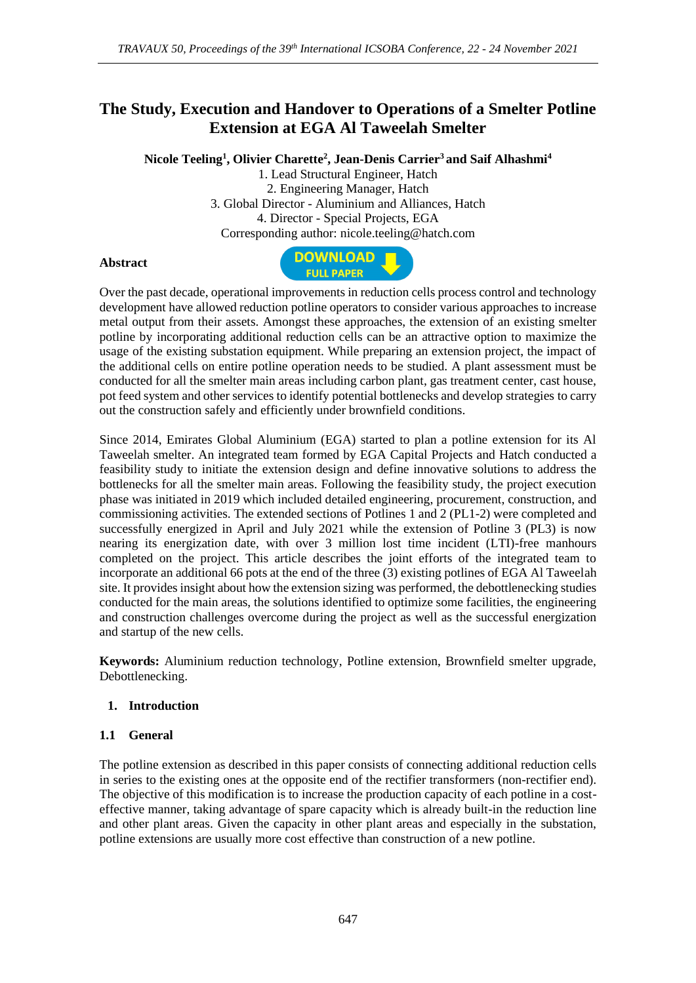# **The Study, Execution and Handover to Operations of a Smelter Potline Extension at EGA Al Taweelah Smelter**

**Nicole Teeling<sup>1</sup> , Olivier Charette<sup>2</sup> , Jean-Denis Carrier<sup>3</sup> and Saif Alhashmi<sup>4</sup>**

1. Lead Structural Engineer, Hatch 2. Engineering Manager, Hatch 3. Global Director - Aluminium and Alliances, Hatch 4. Director - Special Projects, EGA Corresponding author: nicole.teeling@hatch.com

#### **Abstract**



Over the past decade, operational improvements in reduction cells process control and technology development have allowed reduction potline operators to consider various approaches to increase metal output from their assets. Amongst these approaches, the extension of an existing smelter potline by incorporating additional reduction cells can be an attractive option to maximize the usage of the existing substation equipment. While preparing an extension project, the impact of the additional cells on entire potline operation needs to be studied. A plant assessment must be conducted for all the smelter main areas including carbon plant, gas treatment center, cast house, pot feed system and other services to identify potential bottlenecks and develop strategies to carry out the construction safely and efficiently under brownfield conditions.

Since 2014, Emirates Global Aluminium (EGA) started to plan a potline extension for its Al Taweelah smelter. An integrated team formed by EGA Capital Projects and Hatch conducted a feasibility study to initiate the extension design and define innovative solutions to address the bottlenecks for all the smelter main areas. Following the feasibility study, the project execution phase was initiated in 2019 which included detailed engineering, procurement, construction, and commissioning activities. The extended sections of Potlines 1 and 2 (PL1-2) were completed and successfully energized in April and July 2021 while the extension of Potline 3 (PL3) is now nearing its energization date, with over 3 million lost time incident (LTI)-free manhours completed on the project. This article describes the joint efforts of the integrated team to incorporate an additional 66 pots at the end of the three (3) existing potlines of EGA Al Taweelah site. It provides insight about how the extension sizing was performed, the debottlenecking studies conducted for the main areas, the solutions identified to optimize some facilities, the engineering and construction challenges overcome during the project as well as the successful energization and startup of the new cells.

**Keywords:** Aluminium reduction technology, Potline extension, Brownfield smelter upgrade, Debottlenecking.

#### **1. Introduction**

#### **1.1 General**

The potline extension as described in this paper consists of connecting additional reduction cells in series to the existing ones at the opposite end of the rectifier transformers (non-rectifier end). The objective of this modification is to increase the production capacity of each potline in a costeffective manner, taking advantage of spare capacity which is already built-in the reduction line and other plant areas. Given the capacity in other plant areas and especially in the substation, potline extensions are usually more cost effective than construction of a new potline.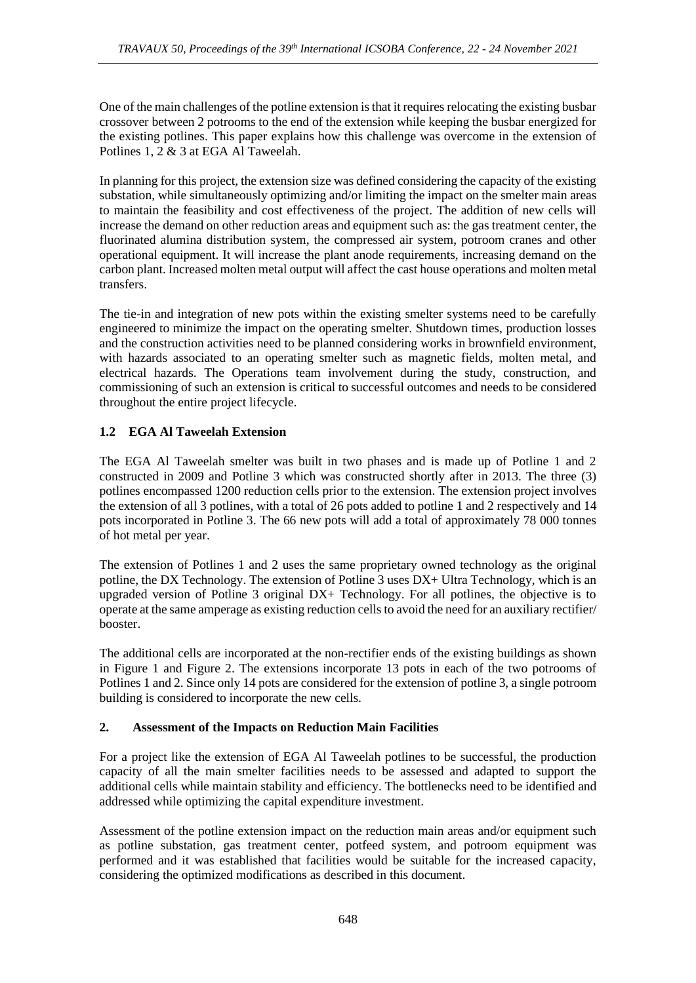One of the main challenges of the potline extension is that it requires relocating the existing busbar crossover between 2 potrooms to the end of the extension while keeping the busbar energized for the existing potlines. This paper explains how this challenge was overcome in the extension of Potlines 1, 2 & 3 at EGA Al Taweelah.

In planning for this project, the extension size was defined considering the capacity of the existing substation, while simultaneously optimizing and/or limiting the impact on the smelter main areas to maintain the feasibility and cost effectiveness of the project. The addition of new cells will increase the demand on other reduction areas and equipment such as: the gas treatment center, the fluorinated alumina distribution system, the compressed air system, potroom cranes and other operational equipment. It will increase the plant anode requirements, increasing demand on the carbon plant. Increased molten metal output will affect the cast house operations and molten metal transfers.

The tie-in and integration of new pots within the existing smelter systems need to be carefully engineered to minimize the impact on the operating smelter. Shutdown times, production losses and the construction activities need to be planned considering works in brownfield environment, with hazards associated to an operating smelter such as magnetic fields, molten metal, and electrical hazards. The Operations team involvement during the study, construction, and commissioning of such an extension is critical to successful outcomes and needs to be considered throughout the entire project lifecycle.

## **1.2 EGA Al Taweelah Extension**

The EGA Al Taweelah smelter was built in two phases and is made up of Potline 1 and 2 constructed in 2009 and Potline 3 which was constructed shortly after in 2013. The three (3) potlines encompassed 1200 reduction cells prior to the extension. The extension project involves the extension of all 3 potlines, with a total of 26 pots added to potline 1 and 2 respectively and 14 pots incorporated in Potline 3. The 66 new pots will add a total of approximately 78 000 tonnes of hot metal per year.

The extension of Potlines 1 and 2 uses the same proprietary owned technology as the original potline, the DX Technology. The extension of Potline 3 uses DX+ Ultra Technology, which is an upgraded version of Potline 3 original DX+ Technology. For all potlines, the objective is to operate at the same amperage as existing reduction cells to avoid the need for an auxiliary rectifier/ booster.

The additional cells are incorporated at the non-rectifier ends of the existing buildings as shown in Figure 1 and Figure 2. The extensions incorporate 13 pots in each of the two potrooms of Potlines 1 and 2. Since only 14 pots are considered for the extension of potline 3, a single potroom building is considered to incorporate the new cells.

### **2. Assessment of the Impacts on Reduction Main Facilities**

For a project like the extension of EGA Al Taweelah potlines to be successful, the production capacity of all the main smelter facilities needs to be assessed and adapted to support the additional cells while maintain stability and efficiency. The bottlenecks need to be identified and addressed while optimizing the capital expenditure investment.

Assessment of the potline extension impact on the reduction main areas and/or equipment such as potline substation, gas treatment center, potfeed system, and potroom equipment was performed and it was established that facilities would be suitable for the increased capacity, considering the optimized modifications as described in this document.